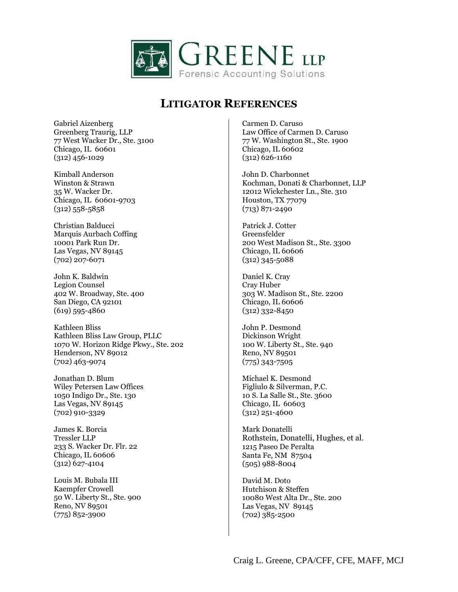

Gabriel Aizenberg Greenberg Traurig, LLP 77 West Wacker Dr., Ste. 3100 Chicago, IL 60601 (312) 456-1029

Kimball Anderson Winston & Strawn 35 W. Wacker Dr. Chicago, IL 60601-9703  $(312)$  558-5858

Christian Balducci Marquis Aurbach Coffing 10001 Park Run Dr. Las Vegas, NV 89145 (702) 207-6071

John K. Baldwin Legion Counsel 402 W. Broadway, Ste. 400 San Diego, CA 92101 (619) 595-4860

Kathleen Bliss Kathleen Bliss Law Group, PLLC 1070 W. Horizon Ridge Pkwy., Ste. 202 Henderson, NV 89012 (702) 463-9074

Jonathan D. Blum Wiley Petersen Law Offices 1050 Indigo Dr., Ste. 130 Las Vegas, NV 89145 (702) 910-3329

James K. Borcia Tressler LLP 233 S. Wacker Dr. Flr. 22 Chicago, IL 60606 (312) 627-4104

Louis M. Bubala III Kaempfer Crowell 50 W. Liberty St., Ste. 900 Reno, NV 89501 (775) 852-3900

Carmen D. Caruso Law Office of Carmen D. Caruso 77 W. Washington St., Ste. 1900 Chicago, IL 60602 (312) 626-1160

John D. Charbonnet Kochman, Donati & Charbonnet, LLP 12012 Wickchester Ln., Ste. 310 Houston, TX 77079 (713) 871-2490

Patrick J. Cotter Greensfelder 200 West Madison St., Ste. 3300 Chicago, IL 60606 (312) 345-5088

Daniel K. Cray Cray Huber 303 W. Madison St., Ste. 2200 Chicago, IL 60606 (312) 332-8450

John P. Desmond Dickinson Wright 100 W. Liberty St., Ste. 940 Reno, NV 89501 (775) 343-7505

Michael K. Desmond Figliulo & Silverman, P.C. 10 S. La Salle St., Ste. 3600 Chicago, IL 60603 (312) 251-4600

Mark Donatelli Rothstein, Donatelli, Hughes, et al. 1215 Paseo De Peralta Santa Fe, NM 87504 (505) 988-8004

David M. Doto Hutchison & Steffen 10080 West Alta Dr., Ste. 200 Las Vegas, NV 89145 (702) 385-2500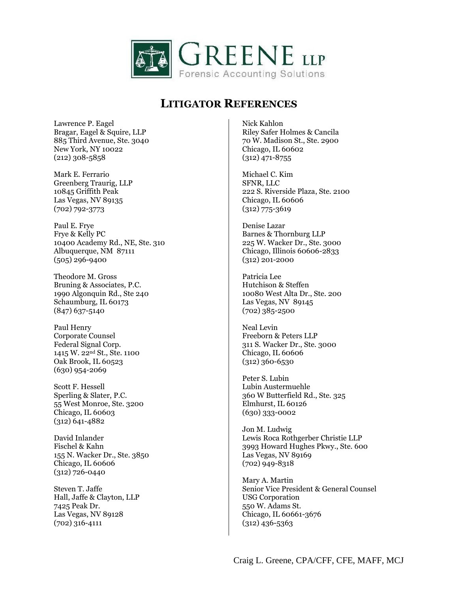

Lawrence P. Eagel Bragar, Eagel & Squire, LLP 885 Third Avenue, Ste. 3040 New York, NY 10022 (212) 308-5858

Mark E. Ferrario Greenberg Traurig, LLP 10845 Griffith Peak Las Vegas, NV 89135 (702) 792-3773

Paul E. Frye Frye & Kelly PC 10400 Academy Rd., NE, Ste. 310 Albuquerque, NM 87111 (505) 296-9400

Theodore M. Gross Bruning & Associates, P.C. 1990 Algonquin Rd., Ste 240 Schaumburg, IL 60173 (847) 637-5140

Paul Henry Corporate Counsel Federal Signal Corp. 1415 W. 22nd St., Ste. 1100 Oak Brook, IL 60523 (630) 954-2069

Scott F. Hessell Sperling & Slater, P.C. 55 West Monroe, Ste. 3200 Chicago, IL 60603 (312) 641-4882

David Inlander Fischel & Kahn 155 N. Wacker Dr., Ste. 3850 Chicago, IL 60606 (312) 726-0440

Steven T. Jaffe Hall, Jaffe & Clayton, LLP 7425 Peak Dr. Las Vegas, NV 89128 (702) 316-4111

Nick Kahlon Riley Safer Holmes & Cancila 70 W. Madison St., Ste. 2900 Chicago, IL 60602 (312) 471-8755

Michael C. Kim SFNR, LLC 222 S. Riverside Plaza, Ste. 2100 Chicago, IL 60606 (312) 775-3619

Denise Lazar Barnes & Thornburg LLP 225 W. Wacker Dr., Ste. 3000 Chicago, Illinois 60606-2833 (312) 201-2000

Patricia Lee Hutchison & Steffen 10080 West Alta Dr., Ste. 200 Las Vegas, NV 89145 (702) 385-2500

Neal Levin Freeborn & Peters LLP 311 S. Wacker Dr., Ste. 3000 Chicago, IL 60606 (312) 360-6530

Peter S. Lubin Lubin Austermuehle 360 W Butterfield Rd., Ste. 325 Elmhurst, IL 60126 (630) 333-0002

Jon M. Ludwig Lewis Roca Rothgerber Christie LLP 3993 Howard Hughes Pkwy., Ste. 600 Las Vegas, NV 89169 (702) 949-8318

Mary A. Martin Senior Vice President & General Counsel USG Corporation 550 W. Adams St. Chicago, IL 60661-3676 (312) 436-5363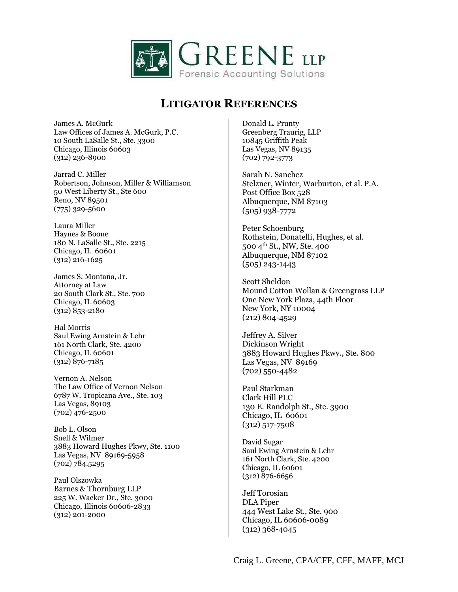

James A. McGurk Law Offices of James A. McGurk, P.C. 10 South LaSalle St., Ste. 3300 Chicago, Illinois 60603 (312) 236-8900

Jarrad C. Miller Robertson, Johnson, Miller & Williamson 50 West Liberty St., Ste 600 Reno, NV 89501 (775) 329-5600

Laura Miller Haynes & Boone 180 N. LaSalle St., Ste. 2215 Chicago, IL 60601 (312) 216-1625

James S. Montana, Jr. Attorney at Law 20 South Clark St., Ste. 700 Chicago, IL 60603  $(312)\overline{853} - 2180$ 

Hal Morris Saul Ewing Arnstein & Lehr 161 North Clark, Ste. 4200 Chicago, IL 60601 (312) 876-7185

Vernon A. Nelson The Law Office of Vernon Nelson 6787 W. Tropicana Ave., Ste. 103 Las Vegas, 89103 (702) 476-2500

Bob L. Olson Snell & Wilmer 3883 Howard Hughes Pkwy, Ste. 1100 Las Vegas, NV 89169-5958 (702) 784.5295

Paul Olszowka Barnes & Thornburg LLP 225 W. Wacker Dr., Ste. 3000 Chicago, Illinois 60606-2833 (312) 201-2000

Donald L. Prunty Greenberg Traurig, LLP 10845 Griffith Peak Las Vegas, NV 89135 (702) 792-3773

Sarah N. Sanchez Stelzner, Winter, Warburton, et al. P.A. Post Office Box 528 Albuquerque, NM 87103 (505) 938-7772

Peter Schoenburg Rothstein, Donatelli, Hughes, et al. 500 4th St., NW, Ste. 400 Albuquerque, NM 87102 (505) 243-1443

Scott Sheldon Mound Cotton Wollan & Greengrass LLP One New York Plaza, 44th Floor New York, NY 10004 (212) 804-4529

Jeffrey A. Silver Dickinson Wright 3883 Howard Hughes Pkwy., Ste. 800 Las Vegas, NV 89169 (702) 550-4482

Paul Starkman Clark Hill PLC 130 E. Randolph St., Ste. 3900 Chicago, IL 60601 (312) 517-7508

David Sugar Saul Ewing Arnstein & Lehr 161 North Clark, Ste. 4200 Chicago, IL 60601 (312) 876-6656

Jeff Torosian DLA Piper 444 West Lake St., Ste. 900 Chicago, IL 60606-0089 (312) 368-4045